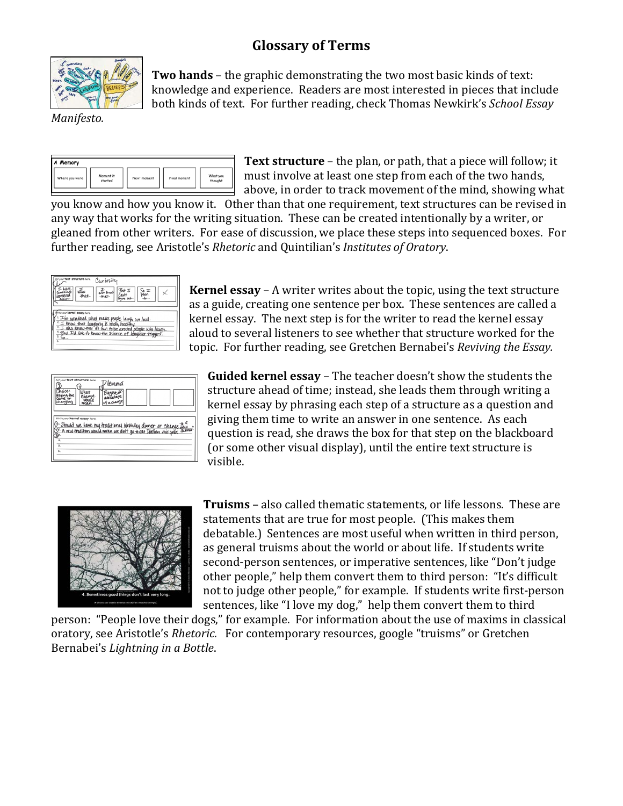## **Glossary of Terms**



**Two hands** – the graphic demonstrating the two most basic kinds of text: knowledge and experience. Readers are most interested in pieces that include both kinds of text. For further reading, check Thomas Newkirk's *School Essay* 

*Manifesto.*

| A Memory       |                      |             |              |                     |
|----------------|----------------------|-------------|--------------|---------------------|
| Where you were | Moment it<br>started | Next moment | Final moment | What you<br>thought |

**Text structure** – the plan, or path, that a piece will follow; it must involve at least one step from each of the two hands, above, in order to track movement of the mind, showing what

you know and how you know it. Other than that one requirement, text structures can be revised in any way that works for the writing situation. These can be created intentionally by a writer, or gleaned from other writers. For ease of discussion, we place these steps into sequenced boxes. For further reading, see Aristotle's *Rhetoric* and Quintilian's *Institutes of Oratory*.



**Kernel essay** – A writer writes about the topic, using the text structure as a guide, creating one sentence per box. These sentences are called a kernel essay. The next step is for the writer to read the kernel essay aloud to several listeners to see whether that structure worked for the topic. For further reading, see Gretchen Bernabei's *Reviving the Essay.*

| mce:                                      | Put your text structure here.<br>anae. | Dilemma |  |                                                                                                                                               |
|-------------------------------------------|----------------------------------------|---------|--|-----------------------------------------------------------------------------------------------------------------------------------------------|
| Э                                         | White your kernel essay here.          |         |  | 0: Should we have my traditional birthday dinner or change bew.<br>Q: A new tradition would mean we don't go to ear Italian this gear. dinner |
| $\overline{4}$<br>$\overline{\mathbf{5}}$ |                                        |         |  |                                                                                                                                               |
| $\overline{6}$                            |                                        |         |  |                                                                                                                                               |

**Guided kernel essay** – The teacher doesn't show the students the structure ahead of time; instead, she leads them through writing a kernel essay by phrasing each step of a structure as a question and giving them time to write an answer in one sentence. As each question is read, she draws the box for that step on the blackboard (or some other visual display), until the entire text structure is visible.



**Truisms** – also called thematic statements, or life lessons. These are statements that are true for most people. (This makes them debatable.) Sentences are most useful when written in third person, as general truisms about the world or about life. If students write second-person sentences, or imperative sentences, like "Don't judge other people," help them convert them to third person: "It's difficult not to judge other people," for example. If students write first-person sentences, like "I love my dog," help them convert them to third

person: "People love their dogs," for example. For information about the use of maxims in classical oratory, see Aristotle's *Rhetoric.* For contemporary resources, google "truisms" or Gretchen Bernabei's *Lightning in a Bottle*.